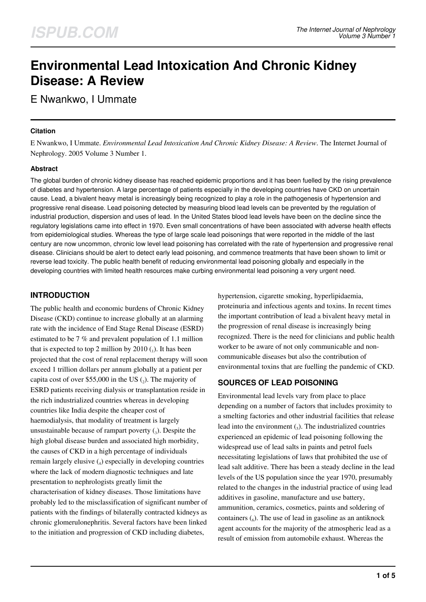# **Environmental Lead Intoxication And Chronic Kidney Disease: A Review**

E Nwankwo, I Ummate

## **Citation**

E Nwankwo, I Ummate. *Environmental Lead Intoxication And Chronic Kidney Disease: A Review*. The Internet Journal of Nephrology. 2005 Volume 3 Number 1.

## **Abstract**

The global burden of chronic kidney disease has reached epidemic proportions and it has been fuelled by the rising prevalence of diabetes and hypertension. A large percentage of patients especially in the developing countries have CKD on uncertain cause. Lead, a bivalent heavy metal is increasingly being recognized to play a role in the pathogenesis of hypertension and progressive renal disease. Lead poisoning detected by measuring blood lead levels can be prevented by the regulation of industrial production, dispersion and uses of lead. In the United States blood lead levels have been on the decline since the regulatory legislations came into effect in 1970. Even small concentrations of have been associated with adverse health effects from epidemiological studies. Whereas the type of large scale lead poisonings that were reported in the middle of the last century are now uncommon, chronic low level lead poisoning has correlated with the rate of hypertension and progressive renal disease. Clinicians should be alert to detect early lead poisoning, and commence treatments that have been shown to limit or reverse lead toxicity. The public health benefit of reducing environmental lead poisoning globally and especially in the developing countries with limited health resources make curbing environmental lead poisoning a very urgent need.

# **INTRODUCTION**

The public health and economic burdens of Chronic Kidney Disease (CKD) continue to increase globally at an alarming rate with the incidence of End Stage Renal Disease (ESRD) estimated to be 7 % and prevalent population of 1.1 million that is expected to top 2 million by  $2010$  (1). It has been projected that the cost of renal replacement therapy will soon exceed 1 trillion dollars per annum globally at a patient per capita cost of over \$55,000 in the US  $(_{2})$ . The majority of ESRD patients receiving dialysis or transplantation reside in the rich industrialized countries whereas in developing countries like India despite the cheaper cost of haemodialysis, that modality of treatment is largely unsustainable because of rampart poverty  $\left( \right)$ . Despite the high global disease burden and associated high morbidity, the causes of CKD in a high percentage of individuals remain largely elusive (4) especially in developing countries where the lack of modern diagnostic techniques and late presentation to nephrologists greatly limit the characterisation of kidney diseases. Those limitations have probably led to the misclassification of significant number of patients with the findings of bilaterally contracted kidneys as chronic glomerulonephritis. Several factors have been linked to the initiation and progression of CKD including diabetes,

hypertension, cigarette smoking, hyperlipidaemia, proteinuria and infectious agents and toxins. In recent times the important contribution of lead a bivalent heavy metal in the progression of renal disease is increasingly being recognized. There is the need for clinicians and public health worker to be aware of not only communicable and noncommunicable diseases but also the contribution of environmental toxins that are fuelling the pandemic of CKD.

# **SOURCES OF LEAD POISONING**

Environmental lead levels vary from place to place depending on a number of factors that includes proximity to a smelting factories and other industrial facilities that release lead into the environment  $\binom{1}{5}$ . The industrialized countries experienced an epidemic of lead poisoning following the widespread use of lead salts in paints and petrol fuels necessitating legislations of laws that prohibited the use of lead salt additive. There has been a steady decline in the lead levels of the US population since the year 1970, presumably related to the changes in the industrial practice of using lead additives in gasoline, manufacture and use battery, ammunition, ceramics, cosmetics, paints and soldering of containers  $\binom{6}{6}$ . The use of lead in gasoline as an antiknock agent accounts for the majority of the atmospheric lead as a result of emission from automobile exhaust. Whereas the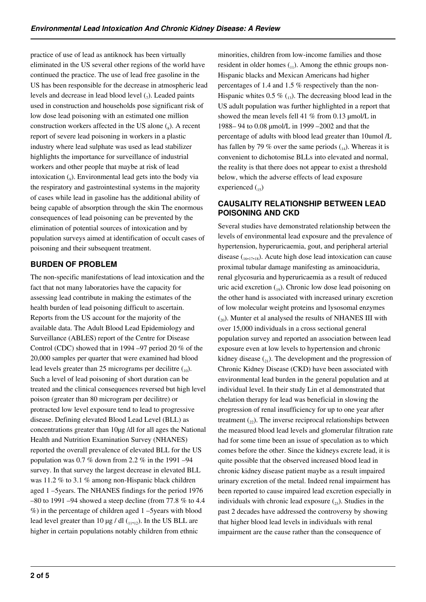practice of use of lead as antiknock has been virtually eliminated in the US several other regions of the world have continued the practice. The use of lead free gasoline in the US has been responsible for the decrease in atmospheric lead levels and decrease in lead blood level  $\binom{7}{7}$ . Leaded paints used in construction and households pose significant risk of low dose lead poisoning with an estimated one million construction workers affected in the US alone  $\binom{8}{8}$ . A recent report of severe lead poisoning in workers in a plastic industry where lead sulphate was used as lead stabilizer highlights the importance for surveillance of industrial workers and other people that maybe at risk of lead intoxication (<sub>9</sub>). Environmental lead gets into the body via the respiratory and gastrointestinal systems in the majority of cases while lead in gasoline has the additional ability of being capable of absorption through the skin The enormous consequences of lead poisoning can be prevented by the elimination of potential sources of intoxication and by population surveys aimed at identification of occult cases of poisoning and their subsequent treatment.

# **BURDEN OF PROBLEM**

The non-specific manifestations of lead intoxication and the fact that not many laboratories have the capacity for assessing lead contribute in making the estimates of the health burden of lead poisoning difficult to ascertain. Reports from the US account for the majority of the available data. The Adult Blood Lead Epidemiology and Surveillance (ABLES) report of the Centre for Disease Control (CDC) showed that in 1994 –97 period 20 % of the 20,000 samples per quarter that were examined had blood lead levels greater than 25 micrograms per decilitre  $\binom{10}{10}$ . Such a level of lead poisoning of short duration can be treated and the clinical consequences reversed but high level poison (greater than 80 microgram per decilitre) or protracted low level exposure tend to lead to progressive disease. Defining elevated Blood Lead Level (BLL) as concentrations greater than 10µg /dl for all ages the National Health and Nutrition Examination Survey (NHANES) reported the overall prevalence of elevated BLL for the US population was  $0.7\%$  down from 2.2 % in the 1991 –94 survey. In that survey the largest decrease in elevated BLL was 11.2 % to 3.1 % among non-Hispanic black children aged 1 –5years. The NHANES findings for the period 1976  $-80$  to 1991 –94 showed a steep decline (from 77.8 % to 4.4) %) in the percentage of children aged 1 –5years with blood lead level greater than 10  $\mu$ g / dl (11,12). In the US BLL are higher in certain populations notably children from ethnic

minorities, children from low-income families and those resident in older homes  $_{(1)}$ . Among the ethnic groups non-Hispanic blacks and Mexican Americans had higher percentages of 1.4 and 1.5 % respectively than the non-Hispanic whites 0.5  $\%$  (13). The decreasing blood lead in the US adult population was further highlighted in a report that showed the mean levels fell 41 % from 0.13 µmol/L in 1988– 94 to 0.08 µmol/L in 1999 –2002 and that the percentage of adults with blood lead greater than 10umol /L has fallen by 79 % over the same periods  $_{14}$ ). Whereas it is convenient to dichotomise BLLs into elevated and normal, the reality is that there does not appear to exist a threshold below, which the adverse effects of lead exposure experienced  $_{15}$ )

# **CAUSALITY RELATIONSHIP BETWEEN LEAD POISONING AND CKD**

Several studies have demonstrated relationship between the levels of environmental lead exposure and the prevalence of hypertension, hyperuricaemia, gout, and peripheral arterial disease  $\binom{16}{16,17,18}$ . Acute high dose lead intoxication can cause proximal tubular damage manifesting as aminoaciduria, renal glycosuria and hyperuricaemia as a result of reduced uric acid excretion  $_{19}$ ). Chronic low dose lead poisoning on the other hand is associated with increased urinary excretion of low molecular weight proteins and lysosomal enzymes  $\binom{20}{20}$ . Munter et al analysed the results of NHANES III with over 15,000 individuals in a cross sectional general population survey and reported an association between lead exposure even at low levels to hypertension and chronic kidney disease  $\binom{1}{2}$ . The development and the progression of Chronic Kidney Disease (CKD) have been associated with environmental lead burden in the general population and at individual level. In their study Lin et al demonstrated that chelation therapy for lead was beneficial in slowing the progression of renal insufficiency for up to one year after treatment  $\binom{1}{2}$ . The inverse reciprocal relationships between the measured blood lead levels and glomerular filtration rate had for some time been an issue of speculation as to which comes before the other. Since the kidneys excrete lead, it is quite possible that the observed increased blood lead in chronic kidney disease patient maybe as a result impaired urinary excretion of the metal. Indeed renal impairment has been reported to cause impaired lead excretion especially in individuals with chronic lead exposure  $\binom{23}{21}$ . Studies in the past 2 decades have addressed the controversy by showing that higher blood lead levels in individuals with renal impairment are the cause rather than the consequence of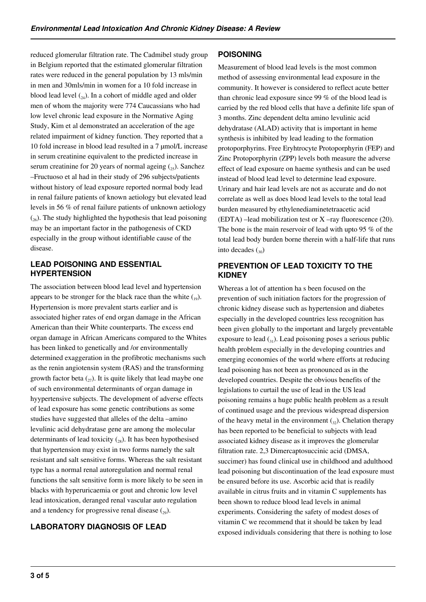reduced glomerular filtration rate. The Cadmibel study group in Belgium reported that the estimated glomerular filtration rates were reduced in the general population by 13 mls/min in men and 30mls/min in women for a 10 fold increase in blood lead level  $_{24}$ ). In a cohort of middle aged and older men of whom the majority were 774 Caucassians who had low level chronic lead exposure in the Normative Aging Study, Kim et al demonstrated an acceleration of the age related impairment of kidney function. They reported that a 10 fold increase in blood lead resulted in a 7 umol/L increase in serum creatinine equivalent to the predicted increase in serum creatinine for 20 years of normal ageing  $(25)$ . Sanchez –Fructuoso et al had in their study of 296 subjects/patients without history of lead exposure reported normal body lead in renal failure patients of known aetiology but elevated lead levels in 56 % of renal failure patients of unknown aetiology  $(x_6)$ . The study highlighted the hypothesis that lead poisoning may be an important factor in the pathogenesis of CKD especially in the group without identifiable cause of the disease.

## **LEAD POISONING AND ESSENTIAL HYPERTENSION**

The association between blood lead level and hypertension appears to be stronger for the black race than the white  $\binom{10}{10}$ . Hypertension is more prevalent starts earlier and is associated higher rates of end organ damage in the African American than their White counterparts. The excess end organ damage in African Americans compared to the Whites has been linked to genetically and /or environmentally determined exaggeration in the profibrotic mechanisms such as the renin angiotensin system (RAS) and the transforming growth factor beta  $\binom{27}{27}$ . It is quite likely that lead maybe one of such environmental determinants of organ damage in hyypertensive subjects. The development of adverse effects of lead exposure has some genetic contributions as some studies have suggested that alleles of the delta –amino levulinic acid dehydratase gene are among the molecular determinants of lead toxicity  $\binom{28}{28}$ . It has been hypothesised that hypertension may exist in two forms namely the salt resistant and salt sensitive forms. Whereas the salt resistant type has a normal renal autoregulation and normal renal functions the salt sensitive form is more likely to be seen in blacks with hyperuricaemia or gout and chronic low level lead intoxication, deranged renal vascular auto regulation and a tendency for progressive renal disease  $\binom{29}{29}$ .

# **LABORATORY DIAGNOSIS OF LEAD**

## **POISONING**

Measurement of blood lead levels is the most common method of assessing environmental lead exposure in the community. It however is considered to reflect acute better than chronic lead exposure since 99 % of the blood lead is carried by the red blood cells that have a definite life span of 3 months. Zinc dependent delta amino levulinic acid dehydratase (ALAD) activity that is important in heme synthesis is inhibited by lead leading to the formation protoporphyrins. Free Eryhtrocyte Protoporphyrin (FEP) and Zinc Protoporphyrin (ZPP) levels both measure the adverse effect of lead exposure on haeme synthesis and can be used instead of blood lead level to determine lead exposure. Urinary and hair lead levels are not as accurate and do not correlate as well as does blood lead levels to the total lead burden measured by ethylenediaminetetraacetic acid (EDTA) –lead mobilization test or X –ray fluorescence (20). The bone is the main reservoir of lead with upto 95 % of the total lead body burden borne therein with a half-life that runs into decades  $\binom{30}{20}$ 

## **PREVENTION OF LEAD TOXICITY TO THE KIDNEY**

Whereas a lot of attention ha s been focused on the prevention of such initiation factors for the progression of chronic kidney disease such as hypertension and diabetes especially in the developed countries less recognition has been given globally to the important and largely preventable exposure to lead  $\binom{31}{2}$ . Lead poisoning poses a serious public health problem especially in the developing countries and emerging economies of the world where efforts at reducing lead poisoning has not been as pronounced as in the developed countries. Despite the obvious benefits of the legislations to curtail the use of lead in the US lead poisoning remains a huge public health problem as a result of continued usage and the previous widespread dispersion of the heavy metal in the environment  $\binom{3}{2}$ . Chelation therapy has been reported to be beneficial to subjects with lead associated kidney disease as it improves the glomerular filtration rate. 2,3 Dimercaptosuccinic acid (DMSA, succimer) has found clinical use in childhood and adulthood lead poisoning but discontinuation of the lead exposure must be ensured before its use. Ascorbic acid that is readily available in citrus fruits and in vitamin C supplements has been shown to reduce blood lead levels in animal experiments. Considering the safety of modest doses of vitamin C we recommend that it should be taken by lead exposed individuals considering that there is nothing to lose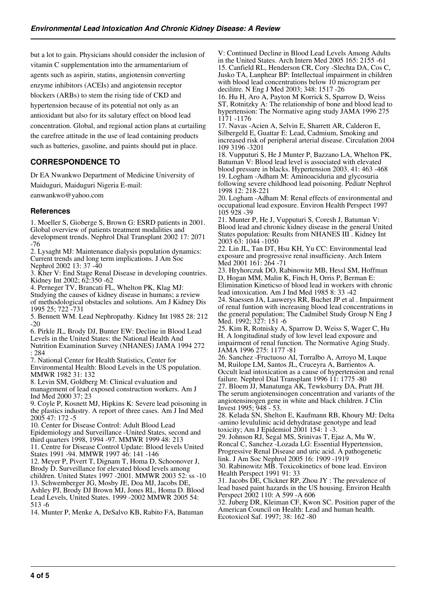but a lot to gain. Physicians should consider the inclusion of vitamin C supplementation into the armamentarium of agents such as aspirin, statins, angiotensin converting enzyme inhibitors (ACEIs) and angiotensin receptor blockers (ARBs) to stem the rising tide of CKD and hypertension because of its potential not only as an antioxidant but also for its salutary effect on blood lead concentration. Global, and regional action plans at curtailing the carefree attitude in the use of lead containing products such as batteries, gasoline, and paints should put in place.

## **CORRESPONDENCE TO**

Dr EA Nwankwo Department of Medicine University of Maiduguri, Maiduguri Nigeria E-mail:

eanwankwo@yahoo.com

## **References**

1. Moeller S, Gioberge S, Brown G: ESRD patients in 2001. Global overview of patients treatment modalities and

development trends. Nephrol Dial Transplant 2002 17: 2071 -76

2. Lysaght MJ: Maintenance dialysis population dynamics: Current trends and long term implications. J Am Soc Nephrol 2002 13: 37 -40

3. Kher V: End Stage Renal Disease in developing countries. Kidney Int 2002; 62:350 -62

4. Perneger TV, Brancati FL, Whelton PK, Klag MJ:

Studying the causes of kidney disease in humans; a review of methodological obstacles and solutions. Am J Kidney Dis 1995 25; 722 -731

5. Bennett WM. Lead Nephropathy. Kidney Int 1985 28: 212 -20

6. Pirkle JL, Brody DJ, Bunter EW: Decline in Blood Lead Levels in the United States: the National Health And

Nutrition Examination Survey (NHANES) JAMA 1994 272 : 284

7. National Center for Health Statistics, Center for

Environmental Health: Blood Levels in the US population. MMWR 1982 31: 132

8. Levin SM, Goldberg M: Clinical evaluation and management of lead exposed construction workers. Am J Ind Med 2000 37; 23

9. Coyle P, Kosnett MJ, Hipkins K: Severe lead poisoning in the plastics industry. A report of three cases. Am J Ind Med 2005 47: 172 -5

10. Center for Disease Control: Adult Blood Lead Epidemiology and Surveillance -United States, second and third quarters 1998, 1994 -97. MMWR 1999 48: 213

11. Centre for Disease Control Update: Blood levels United States 1991 -94. MMWR 1997 46: 141 -146

12. Meyer P, Pivert T, Dignam T, Homa D, Schoonover J, Brody D. Surveillance for elevated blood levels among children. United States 1997 -2001. MMWR 2003 52: ss -10 13. Schwemberger JG, Mosby JE, Doa MJ, Jacobs DE, Ashley PJ, Brody DJ Brown MJ, Jones RL, Homa D. Blood Lead Levels, United States. 1999 -2002 MMWR 2005 54: 513 -6

14. Munter P, Menke A, DeSalvo KB, Rabito FA, Batuman

V: Continued Decline in Blood Lead Levels Among Adults in the United States. Arch Intern Med 2005 165: 2155 -61 15. Canfield RL, Henderson CR, Cory -Slechta DA, Cos C, Jusko TA, Lanphear BP: Intellectual impairment in children with blood lead concentrations below  $10$  microgram per decilitre. N Eng J Med 2003; 348: 1517 -26

16. Hu H, Aro A, Payton M Korrick S, Sparrow D, Weiss ST, Rotnitzky A: The relationship of bone and blood lead to hypertension: The Normative aging study JAMA 1996 275 1171 -1176

17. Navas -Acien A, Selvin E, Sharrett AR, Calderon E, Silbergeld E, Guattar E: Lead, Cadmium, Smoking and increased risk of peripheral arterial disease. Circulation 2004 109 3196 -3201

18. Vupputuri S, He J Munter P, Bazzano LA, Whelton PK, Batuman V: Blood lead level is associated with elevated blood pressure in blacks. Hypertension 2003. 41: 463 -468 19. Logham -Adham M: Aminoaciduria and glycosuria following severe childhood lead poisoning. Pediatr Nephrol 1998 12: 218-221

20. Logham -Adham M: Renal effects of environmental and occupational lead exposure. Environ Health Perspect 1997 105 928 -39

21. Munter P, He J, Vupputuri S, Coresh J, Batuman V: Blood lead and chronic kidney disease in the general United States population: Results from NHANES III . Kidney Int 2003 63: 1044 -1050

22. Lin JL, Tan DT, Hsu KH, Yu CC: Environmental lead exposure and progressive renal insufficieny. Arch Intern Med 2001 161: 264 -71

23. Hryhorczuk DO, Rabinowitz MB, Hessl SM, Hoffman D, Hogan MM, Malin K, Finch H, Orris P, Berman E: Elimination Kineticso of blood lead in workers with chronic lead intoxication. Am J Ind Med 1985 8: 33 -42

24. Staessen JA, Lauwerys RR, Buchet JP et al . Impairment of renal funtion with increasing blood lead concentrations in the general population; The Cadmibel Study Group N Eng J Med. 1992; 327: 151 -6

25. Kim R, Rotnisky A, Sparrow D, Weiss S, Wager C, Hu H. A longitudinal study of low level lead exposure and impairment of renal function. The Normative Aging Study. JAMA 1996 275: 1177 -81

26. Sanchez -Fructuoso AI, Torralbo A, Arroyo M, Luque M, Ruilope LM, Santos JL, Cruceyra A, Barrientos A. Occult lead intoxication as a cause of hypertension and renal failure. Nephrol Dial Transplant 1996 11: 1775 -80 27. Bloem JJ, Manatunga AK, Tewksburry DA, Pratt JH.

The serum angiotensinogen concentration and variants of the angiotensinogen gene in white and black children. J Clin Invest 1995; 948 - 53.

28. Kelada SN, Shelton E, Kaufmann RB, Khoury MJ: Delta -amino levululinic acid dehydratase genotype and lead toxicity; Am J Epidemiol 2001 154: 1 -3.

29. Johnson RJ, Segal MS, Srinivas T, Ejaz A, Mu W, Roncal C, Sanchez -Lozada LG: Essential Hypertension, Progressive Renal Disease and uric acid. A pathogenetic

link. J Am Soc Nephrol 2005 16: 1909 -1919

30. Rabinowitz MB. Toxicokinetics of bone lead. Environ Health Perspect 1991 91: 33

31. Jacobs DE, Clickner RP, Zhou JY : The prevalence of lead based paint hazards in the US housing. Environ Health Perspect 2002 110: A 599 -A 606

32. Juberg DR, Kleiman CF, Kwon SC. Position paper of the American Council on Health: Lead and human health. Ecotoxicol Saf. 1997; 38: 162 -80